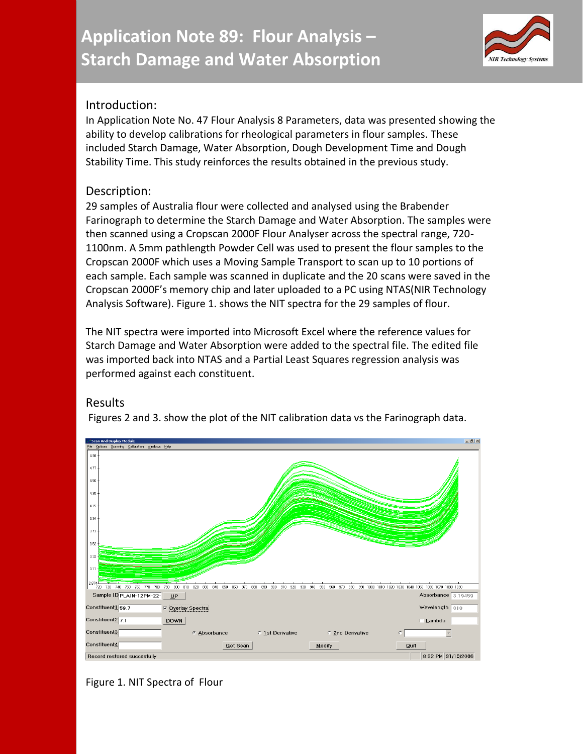

# Introduction:

In Application Note No. 47 Flour Analysis 8 Parameters, data was presented showing the ability to develop calibrations for rheological parameters in flour samples. These included Starch Damage, Water Absorption, Dough Development Time and Dough Stability Time. This study reinforces the results obtained in the previous study.

# Description:

29 samples of Australia flour were collected and analysed using the Brabender Farinograph to determine the Starch Damage and Water Absorption. The samples were then scanned using a Cropscan 2000F Flour Analyser across the spectral range, 720- 1100nm. A 5mm pathlength Powder Cell was used to present the flour samples to the Cropscan 2000F which uses a Moving Sample Transport to scan up to 10 portions of each sample. Each sample was scanned in duplicate and the 20 scans were saved in the Cropscan 2000F's memory chip and later uploaded to a PC using NTAS(NIR Technology Analysis Software). Figure 1. shows the NIT spectra for the 29 samples of flour.

The NIT spectra were imported into Microsoft Excel where the reference values for Starch Damage and Water Absorption were added to the spectral file. The edited file was imported back into NTAS and a Partial Least Squares regression analysis was performed against each constituent.

# Results

Figures 2 and 3. show the plot of the NIT calibration data vs the Farinograph data.



### Figure 1. NIT Spectra of Flour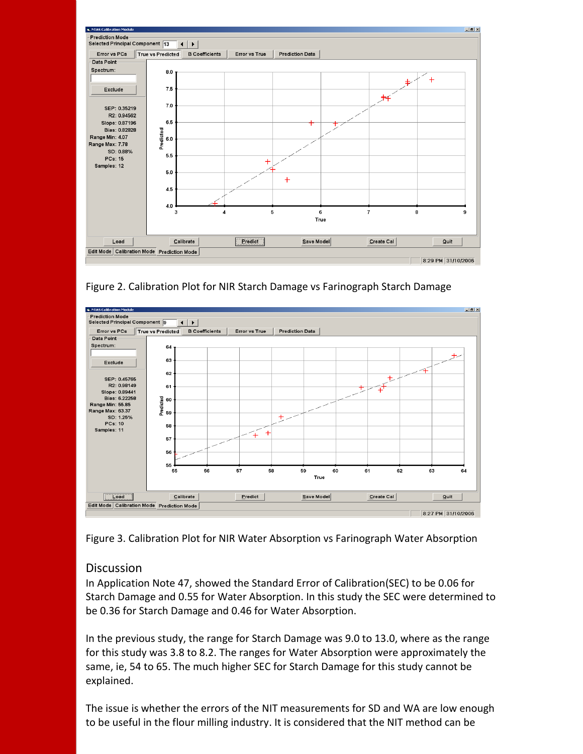

Figure 2. Calibration Plot for NIR Starch Damage vs Farinograph Starch Damage



Figure 3. Calibration Plot for NIR Water Absorption vs Farinograph Water Absorption

#### Discussion

In Application Note 47, showed the Standard Error of Calibration(SEC) to be 0.06 for Starch Damage and 0.55 for Water Absorption. In this study the SEC were determined to be 0.36 for Starch Damage and 0.46 for Water Absorption.

In the previous study, the range for Starch Damage was 9.0 to 13.0, where as the range for this study was 3.8 to 8.2. The ranges for Water Absorption were approximately the same, ie, 54 to 65. The much higher SEC for Starch Damage for this study cannot be explained.

The issue is whether the errors of the NIT measurements for SD and WA are low enough to be useful in the flour milling industry. It is considered that the NIT method can be